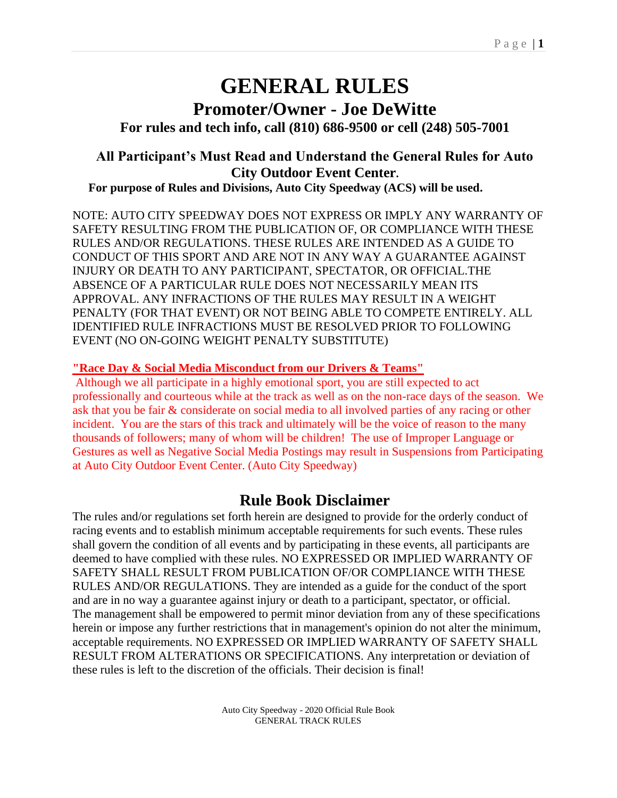# **GENERAL RULES Promoter/Owner - Joe DeWitte**

**For rules and tech info, call (810) 686-9500 or cell (248) 505-7001**

## **All Participant's Must Read and Understand the General Rules for Auto City Outdoor Event Center.**

**For purpose of Rules and Divisions, Auto City Speedway (ACS) will be used.**

NOTE: AUTO CITY SPEEDWAY DOES NOT EXPRESS OR IMPLY ANY WARRANTY OF SAFETY RESULTING FROM THE PUBLICATION OF, OR COMPLIANCE WITH THESE RULES AND/OR REGULATIONS. THESE RULES ARE INTENDED AS A GUIDE TO CONDUCT OF THIS SPORT AND ARE NOT IN ANY WAY A GUARANTEE AGAINST INJURY OR DEATH TO ANY PARTICIPANT, SPECTATOR, OR OFFICIAL.THE ABSENCE OF A PARTICULAR RULE DOES NOT NECESSARILY MEAN ITS APPROVAL. ANY INFRACTIONS OF THE RULES MAY RESULT IN A WEIGHT PENALTY (FOR THAT EVENT) OR NOT BEING ABLE TO COMPETE ENTIRELY. ALL IDENTIFIED RULE INFRACTIONS MUST BE RESOLVED PRIOR TO FOLLOWING EVENT (NO ON-GOING WEIGHT PENALTY SUBSTITUTE)

### **"Race Day & Social Media Misconduct from our Drivers & Teams"**

Although we all participate in a highly emotional sport, you are still expected to act professionally and courteous while at the track as well as on the non-race days of the season. We ask that you be fair & considerate on social media to all involved parties of any racing or other incident. You are the stars of this track and ultimately will be the voice of reason to the many thousands of followers; many of whom will be children! The use of Improper Language or Gestures as well as Negative Social Media Postings may result in Suspensions from Participating at Auto City Outdoor Event Center. (Auto City Speedway)

## **Rule Book Disclaimer**

The rules and/or regulations set forth herein are designed to provide for the orderly conduct of racing events and to establish minimum acceptable requirements for such events. These rules shall govern the condition of all events and by participating in these events, all participants are deemed to have complied with these rules. NO EXPRESSED OR IMPLIED WARRANTY OF SAFETY SHALL RESULT FROM PUBLICATION OF/OR COMPLIANCE WITH THESE RULES AND/OR REGULATIONS. They are intended as a guide for the conduct of the sport and are in no way a guarantee against injury or death to a participant, spectator, or official. The management shall be empowered to permit minor deviation from any of these specifications herein or impose any further restrictions that in management's opinion do not alter the minimum, acceptable requirements. NO EXPRESSED OR IMPLIED WARRANTY OF SAFETY SHALL RESULT FROM ALTERATIONS OR SPECIFICATIONS. Any interpretation or deviation of these rules is left to the discretion of the officials. Their decision is final!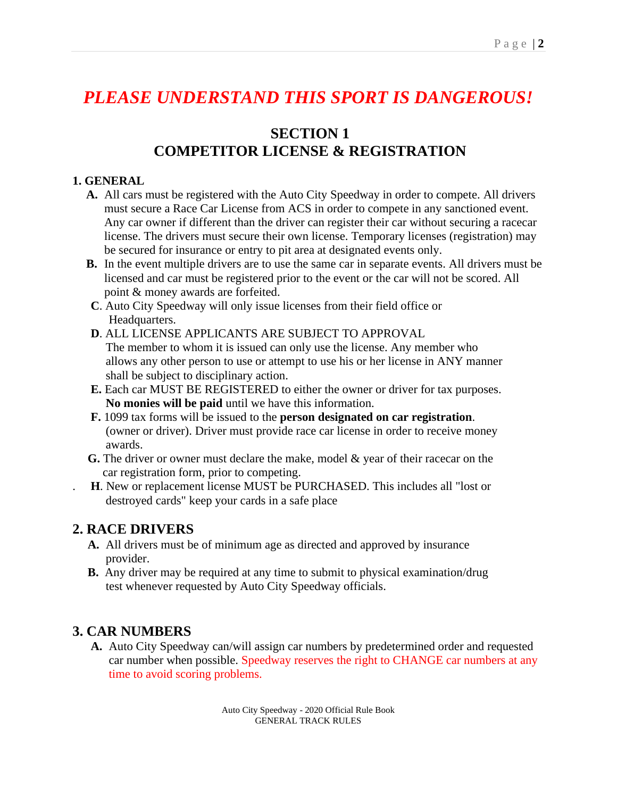# *PLEASE UNDERSTAND THIS SPORT IS DANGEROUS!*

# **SECTION 1 COMPETITOR LICENSE & REGISTRATION**

#### **1. GENERAL**

- **A.** All cars must be registered with the Auto City Speedway in order to compete. All drivers must secure a Race Car License from ACS in order to compete in any sanctioned event. Any car owner if different than the driver can register their car without securing a racecar license. The drivers must secure their own license. Temporary licenses (registration) may be secured for insurance or entry to pit area at designated events only.
- **B.** In the event multiple drivers are to use the same car in separate events. All drivers must be licensed and car must be registered prior to the event or the car will not be scored. All point & money awards are forfeited.
- **C**. Auto City Speedway will only issue licenses from their field office or Headquarters.
- **D**. ALL LICENSE APPLICANTS ARE SUBJECT TO APPROVAL The member to whom it is issued can only use the license. Any member who allows any other person to use or attempt to use his or her license in ANY manner shall be subject to disciplinary action.
- **E.** Each car MUST BE REGISTERED to either the owner or driver for tax purposes.  **No monies will be paid** until we have this information.
- **F.** 1099 tax forms will be issued to the **person designated on car registration**. (owner or driver). Driver must provide race car license in order to receive money awards.
- **G.** The driver or owner must declare the make, model & year of their racecar on the car registration form, prior to competing.
- . **H**. New or replacement license MUST be PURCHASED. This includes all "lost or destroyed cards" keep your cards in a safe place

## **2. RACE DRIVERS**

- **A.** All drivers must be of minimum age as directed and approved by insurance provider.
- **B.** Any driver may be required at any time to submit to physical examination/drug test whenever requested by Auto City Speedway officials.

## **3. CAR NUMBERS**

**A.** Auto City Speedway can/will assign car numbers by predetermined order and requested car number when possible. Speedway reserves the right to CHANGE car numbers at any time to avoid scoring problems.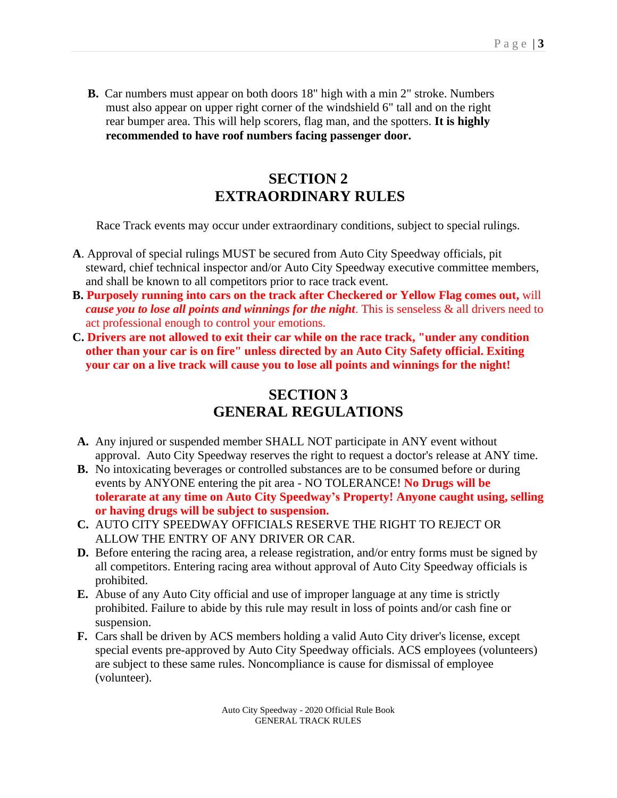**B.** Car numbers must appear on both doors 18" high with a min 2" stroke. Numbers must also appear on upper right corner of the windshield 6" tall and on the right rear bumper area. This will help scorers, flag man, and the spotters. **It is highly recommended to have roof numbers facing passenger door.**

## **SECTION 2 EXTRAORDINARY RULES**

Race Track events may occur under extraordinary conditions, subject to special rulings.

- **A**. Approval of special rulings MUST be secured from Auto City Speedway officials, pit steward, chief technical inspector and/or Auto City Speedway executive committee members, and shall be known to all competitors prior to race track event.
- **B. Purposely running into cars on the track after Checkered or Yellow Flag comes out,** will *cause you to lose all points and winnings for the night*. This is senseless & all drivers need to act professional enough to control your emotions.
- **C. Drivers are not allowed to exit their car while on the race track, "under any condition other than your car is on fire" unless directed by an Auto City Safety official. Exiting your car on a live track will cause you to lose all points and winnings for the night!**

# **SECTION 3 GENERAL REGULATIONS**

- **A.** Any injured or suspended member SHALL NOT participate in ANY event without approval. Auto City Speedway reserves the right to request a doctor's release at ANY time.
- **B.** No intoxicating beverages or controlled substances are to be consumed before or during events by ANYONE entering the pit area - NO TOLERANCE! **No Drugs will be tolerarate at any time on Auto City Speedway's Property! Anyone caught using, selling or having drugs will be subject to suspension.**
- **C.** AUTO CITY SPEEDWAY OFFICIALS RESERVE THE RIGHT TO REJECT OR ALLOW THE ENTRY OF ANY DRIVER OR CAR.
- **D.** Before entering the racing area, a release registration, and/or entry forms must be signed by all competitors. Entering racing area without approval of Auto City Speedway officials is prohibited.
- **E.** Abuse of any Auto City official and use of improper language at any time is strictly prohibited. Failure to abide by this rule may result in loss of points and/or cash fine or suspension.
- **F.** Cars shall be driven by ACS members holding a valid Auto City driver's license, except special events pre-approved by Auto City Speedway officials. ACS employees (volunteers) are subject to these same rules. Noncompliance is cause for dismissal of employee (volunteer).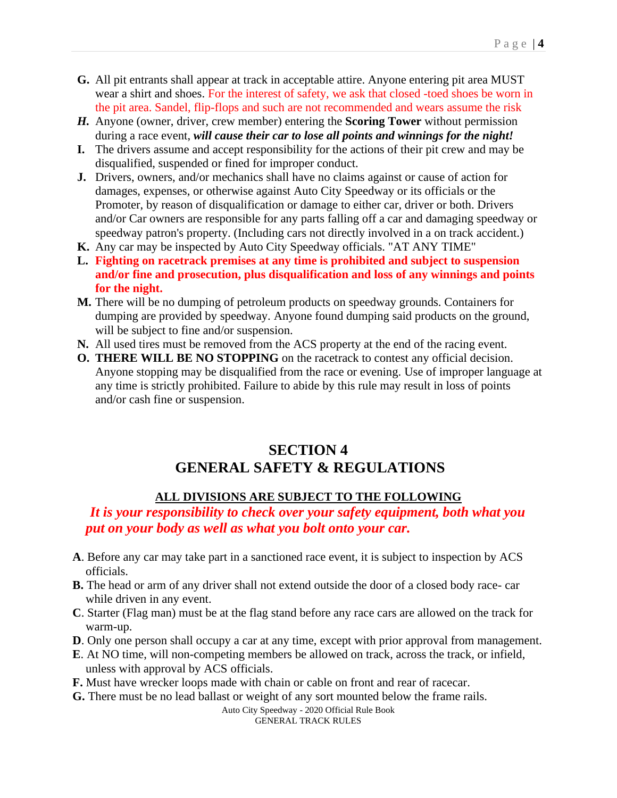- **G.** All pit entrants shall appear at track in acceptable attire. Anyone entering pit area MUST wear a shirt and shoes. For the interest of safety, we ask that closed -toed shoes be worn in the pit area. Sandel, flip-flops and such are not recommended and wears assume the risk
- *H.* Anyone (owner, driver, crew member) entering the **Scoring Tower** without permission during a race event, *will cause their car to lose all points and winnings for the night!*
- **I.** The drivers assume and accept responsibility for the actions of their pit crew and may be disqualified, suspended or fined for improper conduct.
- **J.** Drivers, owners, and/or mechanics shall have no claims against or cause of action for damages, expenses, or otherwise against Auto City Speedway or its officials or the Promoter, by reason of disqualification or damage to either car, driver or both. Drivers and/or Car owners are responsible for any parts falling off a car and damaging speedway or speedway patron's property. (Including cars not directly involved in a on track accident.)
- **K.** Any car may be inspected by Auto City Speedway officials. "AT ANY TIME"
- **L. Fighting on racetrack premises at any time is prohibited and subject to suspension and/or fine and prosecution, plus disqualification and loss of any winnings and points for the night.**
- **M.** There will be no dumping of petroleum products on speedway grounds. Containers for dumping are provided by speedway. Anyone found dumping said products on the ground, will be subject to fine and/or suspension.
- **N.** All used tires must be removed from the ACS property at the end of the racing event.
- **O. THERE WILL BE NO STOPPING** on the racetrack to contest any official decision. Anyone stopping may be disqualified from the race or evening. Use of improper language at any time is strictly prohibited. Failure to abide by this rule may result in loss of points and/or cash fine or suspension.

# **SECTION 4 GENERAL SAFETY & REGULATIONS**

## **ALL DIVISIONS ARE SUBJECT TO THE FOLLOWING**

 *It is your responsibility to check over your safety equipment, both what you put on your body as well as what you bolt onto your car.*

- **A**. Before any car may take part in a sanctioned race event, it is subject to inspection by ACS officials.
- **B.** The head or arm of any driver shall not extend outside the door of a closed body race- car while driven in any event.
- **C**. Starter (Flag man) must be at the flag stand before any race cars are allowed on the track for warm-up.
- **D**. Only one person shall occupy a car at any time, except with prior approval from management.
- **E**. At NO time, will non-competing members be allowed on track, across the track, or infield, unless with approval by ACS officials.
- **F.** Must have wrecker loops made with chain or cable on front and rear of racecar.
- **G.** There must be no lead ballast or weight of any sort mounted below the frame rails.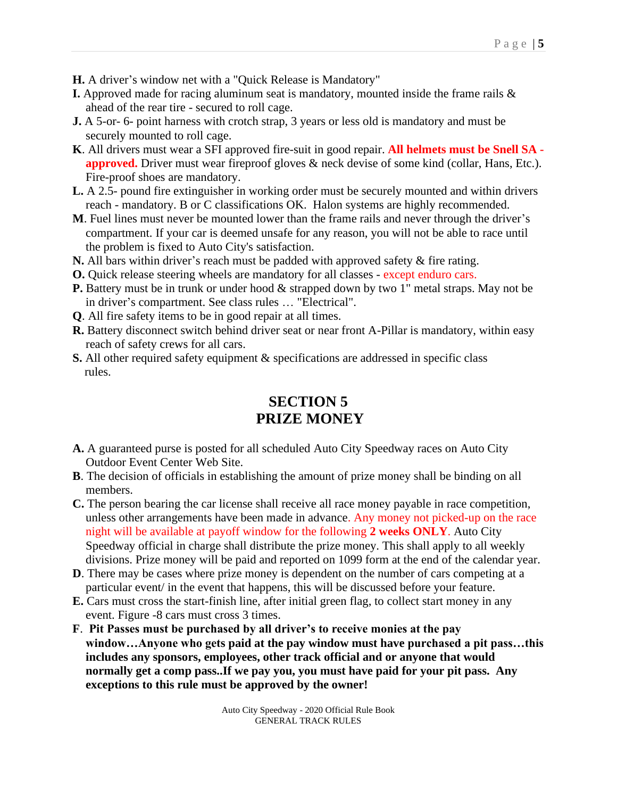- **H.** A driver's window net with a "Quick Release is Mandatory"
- **I.** Approved made for racing aluminum seat is mandatory, mounted inside the frame rails & ahead of the rear tire - secured to roll cage.
- **J.** A 5-or- 6- point harness with crotch strap, 3 years or less old is mandatory and must be securely mounted to roll cage.
- **K**. All drivers must wear a SFI approved fire-suit in good repair. **All helmets must be Snell SA approved.** Driver must wear fireproof gloves & neck devise of some kind (collar, Hans, Etc.). Fire-proof shoes are mandatory.
- **L.** A 2.5- pound fire extinguisher in working order must be securely mounted and within drivers reach - mandatory. B or C classifications OK. Halon systems are highly recommended.
- **M**. Fuel lines must never be mounted lower than the frame rails and never through the driver's compartment. If your car is deemed unsafe for any reason, you will not be able to race until the problem is fixed to Auto City's satisfaction.
- **N.** All bars within driver's reach must be padded with approved safety & fire rating.
- **O.** Quick release steering wheels are mandatory for all classes except enduro cars.
- **P.** Battery must be in trunk or under hood & strapped down by two 1" metal straps. May not be in driver's compartment. See class rules … "Electrical".
- **Q**. All fire safety items to be in good repair at all times.
- **R.** Battery disconnect switch behind driver seat or near front A-Pillar is mandatory, within easy reach of safety crews for all cars.
- **S.** All other required safety equipment & specifications are addressed in specific class rules.

# **SECTION 5 PRIZE MONEY**

- **A.** A guaranteed purse is posted for all scheduled Auto City Speedway races on Auto City Outdoor Event Center Web Site.
- **B**. The decision of officials in establishing the amount of prize money shall be binding on all members.
- **C.** The person bearing the car license shall receive all race money payable in race competition, unless other arrangements have been made in advance. Any money not picked-up on the race night will be available at payoff window for the following **2 weeks ONLY**. Auto City Speedway official in charge shall distribute the prize money. This shall apply to all weekly divisions. Prize money will be paid and reported on 1099 form at the end of the calendar year.
- **D**. There may be cases where prize money is dependent on the number of cars competing at a particular event/ in the event that happens, this will be discussed before your feature.
- **E.** Cars must cross the start-finish line, after initial green flag, to collect start money in any event. Figure -8 cars must cross 3 times.
- **F**. **Pit Passes must be purchased by all driver's to receive monies at the pay window…Anyone who gets paid at the pay window must have purchased a pit pass…this includes any sponsors, employees, other track official and or anyone that would normally get a comp pass..If we pay you, you must have paid for your pit pass. Any exceptions to this rule must be approved by the owner!**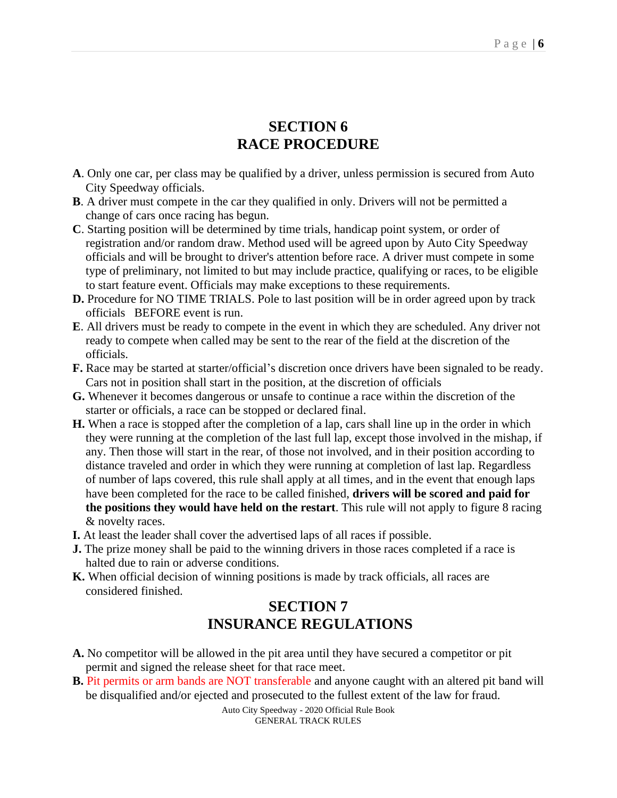## **SECTION 6 RACE PROCEDURE**

- **A**. Only one car, per class may be qualified by a driver, unless permission is secured from Auto City Speedway officials.
- **B**. A driver must compete in the car they qualified in only. Drivers will not be permitted a change of cars once racing has begun.
- **C**. Starting position will be determined by time trials, handicap point system, or order of registration and/or random draw. Method used will be agreed upon by Auto City Speedway officials and will be brought to driver's attention before race. A driver must compete in some type of preliminary, not limited to but may include practice, qualifying or races, to be eligible to start feature event. Officials may make exceptions to these requirements.
- **D.** Procedure for NO TIME TRIALS. Pole to last position will be in order agreed upon by track officials BEFORE event is run.
- **E**. All drivers must be ready to compete in the event in which they are scheduled. Any driver not ready to compete when called may be sent to the rear of the field at the discretion of the officials.
- **F.** Race may be started at starter/official's discretion once drivers have been signaled to be ready. Cars not in position shall start in the position, at the discretion of officials
- **G.** Whenever it becomes dangerous or unsafe to continue a race within the discretion of the starter or officials, a race can be stopped or declared final.
- **H.** When a race is stopped after the completion of a lap, cars shall line up in the order in which they were running at the completion of the last full lap, except those involved in the mishap, if any. Then those will start in the rear, of those not involved, and in their position according to distance traveled and order in which they were running at completion of last lap. Regardless of number of laps covered, this rule shall apply at all times, and in the event that enough laps have been completed for the race to be called finished, **drivers will be scored and paid for the positions they would have held on the restart**. This rule will not apply to figure 8 racing & novelty races.
- **I.** At least the leader shall cover the advertised laps of all races if possible.
- **J.** The prize money shall be paid to the winning drivers in those races completed if a race is halted due to rain or adverse conditions.
- **K.** When official decision of winning positions is made by track officials, all races are considered finished.

## **SECTION 7 INSURANCE REGULATIONS**

- **A.** No competitor will be allowed in the pit area until they have secured a competitor or pit permit and signed the release sheet for that race meet.
- **B.** Pit permits or arm bands are NOT transferable and anyone caught with an altered pit band will be disqualified and/or ejected and prosecuted to the fullest extent of the law for fraud.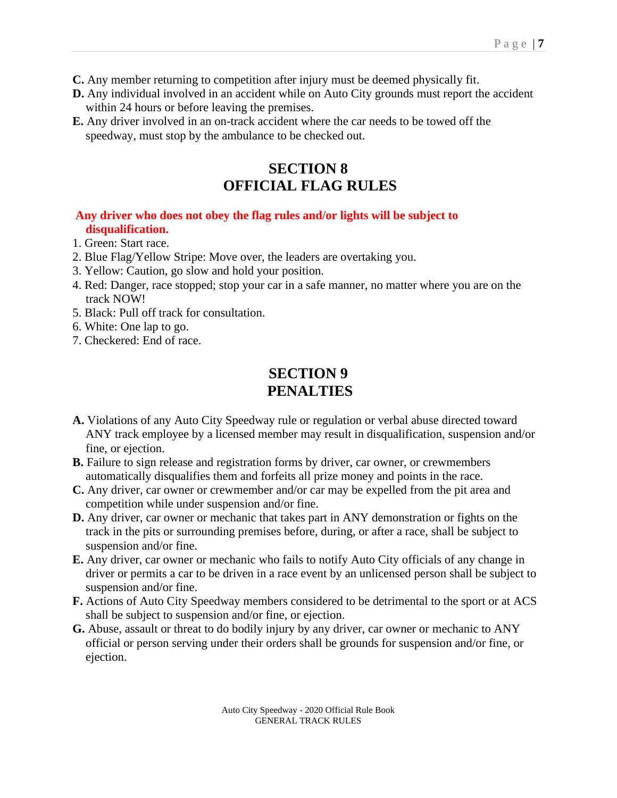- **C.** Any member returning to competition after injury must be deemed physically fit.
- **D.** Any individual involved in an accident while on Auto City grounds must report the accident within 24 hours or before leaving the premises.
- **E.** Any driver involved in an on-track accident where the car needs to be towed off the speedway, must stop by the ambulance to be checked out.

# **SECTION 8 OFFICIAL FLAG RULES**

#### **Any driver who does not obey the flag rules and/or lights will be subject to disqualification.**

- 1. Green: Start race.
- 2. Blue Flag/Yellow Stripe: Move over, the leaders are overtaking you.
- 3. Yellow: Caution, go slow and hold your position.
- 4. Red: Danger, race stopped; stop your car in a safe manner, no matter where you are on the track NOW!
- 5. Black: Pull off track for consultation.
- 6. White: One lap to go.
- 7. Checkered: End of race.

## **SECTION 9 PENALTIES**

- **A.** Violations of any Auto City Speedway rule or regulation or verbal abuse directed toward ANY track employee by a licensed member may result in disqualification, suspension and/or fine, or ejection.
- **B.** Failure to sign release and registration forms by driver, car owner, or crewmembers automatically disqualifies them and forfeits all prize money and points in the race.
- **C.** Any driver, car owner or crewmember and/or car may be expelled from the pit area and competition while under suspension and/or fine.
- **D.** Any driver, car owner or mechanic that takes part in ANY demonstration or fights on the track in the pits or surrounding premises before, during, or after a race, shall be subject to suspension and/or fine.
- **E.** Any driver, car owner or mechanic who fails to notify Auto City officials of any change in driver or permits a car to be driven in a race event by an unlicensed person shall be subject to suspension and/or fine.
- **F.** Actions of Auto City Speedway members considered to be detrimental to the sport or at ACS shall be subject to suspension and/or fine, or ejection.
- **G.** Abuse, assault or threat to do bodily injury by any driver, car owner or mechanic to ANY official or person serving under their orders shall be grounds for suspension and/or fine, or ejection.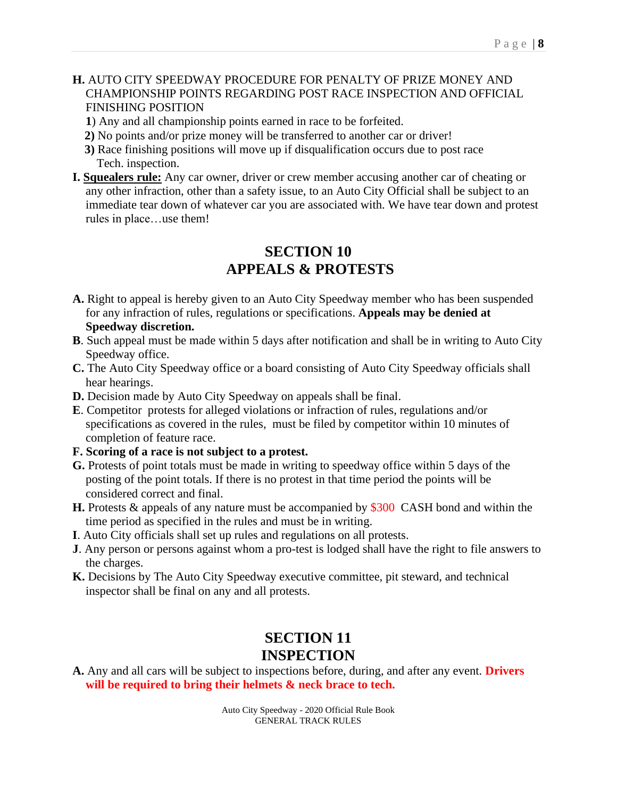#### **H.** AUTO CITY SPEEDWAY PROCEDURE FOR PENALTY OF PRIZE MONEY AND CHAMPIONSHIP POINTS REGARDING POST RACE INSPECTION AND OFFICIAL FINISHING POSITION

- **1**) Any and all championship points earned in race to be forfeited.
- **2)** No points and/or prize money will be transferred to another car or driver!
- **3)** Race finishing positions will move up if disqualification occurs due to post race Tech. inspection.
- **I. Squealers rule:** Any car owner, driver or crew member accusing another car of cheating or any other infraction, other than a safety issue, to an Auto City Official shall be subject to an immediate tear down of whatever car you are associated with. We have tear down and protest rules in place…use them!

## **SECTION 10 APPEALS & PROTESTS**

- **A.** Right to appeal is hereby given to an Auto City Speedway member who has been suspended for any infraction of rules, regulations or specifications. **Appeals may be denied at Speedway discretion.**
- **B**. Such appeal must be made within 5 days after notification and shall be in writing to Auto City Speedway office.
- **C.** The Auto City Speedway office or a board consisting of Auto City Speedway officials shall hear hearings.
- **D.** Decision made by Auto City Speedway on appeals shall be final.
- **E**. Competitor protests for alleged violations or infraction of rules, regulations and/or specifications as covered in the rules, must be filed by competitor within 10 minutes of completion of feature race.
- **F. Scoring of a race is not subject to a protest.**
- **G.** Protests of point totals must be made in writing to speedway office within 5 days of the posting of the point totals. If there is no protest in that time period the points will be considered correct and final.
- **H.** Protests & appeals of any nature must be accompanied by \$300 CASH bond and within the time period as specified in the rules and must be in writing.
- **I**. Auto City officials shall set up rules and regulations on all protests.
- **J**. Any person or persons against whom a pro-test is lodged shall have the right to file answers to the charges.
- **K.** Decisions by The Auto City Speedway executive committee, pit steward, and technical inspector shall be final on any and all protests.

# **SECTION 11 INSPECTION**

**A.** Any and all cars will be subject to inspections before, during, and after any event. **Drivers will be required to bring their helmets & neck brace to tech.**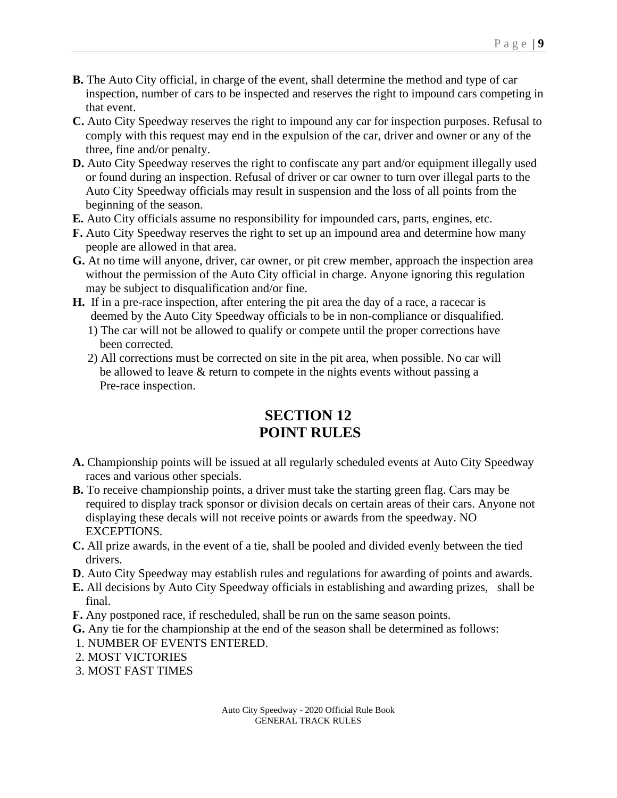- **B.** The Auto City official, in charge of the event, shall determine the method and type of car inspection, number of cars to be inspected and reserves the right to impound cars competing in that event.
- **C.** Auto City Speedway reserves the right to impound any car for inspection purposes. Refusal to comply with this request may end in the expulsion of the car, driver and owner or any of the three, fine and/or penalty.
- **D.** Auto City Speedway reserves the right to confiscate any part and/or equipment illegally used or found during an inspection. Refusal of driver or car owner to turn over illegal parts to the Auto City Speedway officials may result in suspension and the loss of all points from the beginning of the season.
- **E.** Auto City officials assume no responsibility for impounded cars, parts, engines, etc.
- **F.** Auto City Speedway reserves the right to set up an impound area and determine how many people are allowed in that area.
- G. At no time will anyone, driver, car owner, or pit crew member, approach the inspection area without the permission of the Auto City official in charge. Anyone ignoring this regulation may be subject to disqualification and/or fine.
- **H.** If in a pre-race inspection, after entering the pit area the day of a race, a racecar is deemed by the Auto City Speedway officials to be in non-compliance or disqualified.
	- 1) The car will not be allowed to qualify or compete until the proper corrections have been corrected.
	- 2) All corrections must be corrected on site in the pit area, when possible. No car will be allowed to leave & return to compete in the nights events without passing a Pre-race inspection.

# **SECTION 12 POINT RULES**

- **A.** Championship points will be issued at all regularly scheduled events at Auto City Speedway races and various other specials.
- **B.** To receive championship points, a driver must take the starting green flag. Cars may be required to display track sponsor or division decals on certain areas of their cars. Anyone not displaying these decals will not receive points or awards from the speedway. NO EXCEPTIONS.
- **C.** All prize awards, in the event of a tie, shall be pooled and divided evenly between the tied drivers.
- **D**. Auto City Speedway may establish rules and regulations for awarding of points and awards.
- **E.** All decisions by Auto City Speedway officials in establishing and awarding prizes, shall be final.
- **F.** Any postponed race, if rescheduled, shall be run on the same season points.
- **G.** Any tie for the championship at the end of the season shall be determined as follows:
- 1. NUMBER OF EVENTS ENTERED.
- 2. MOST VICTORIES
- 3. MOST FAST TIMES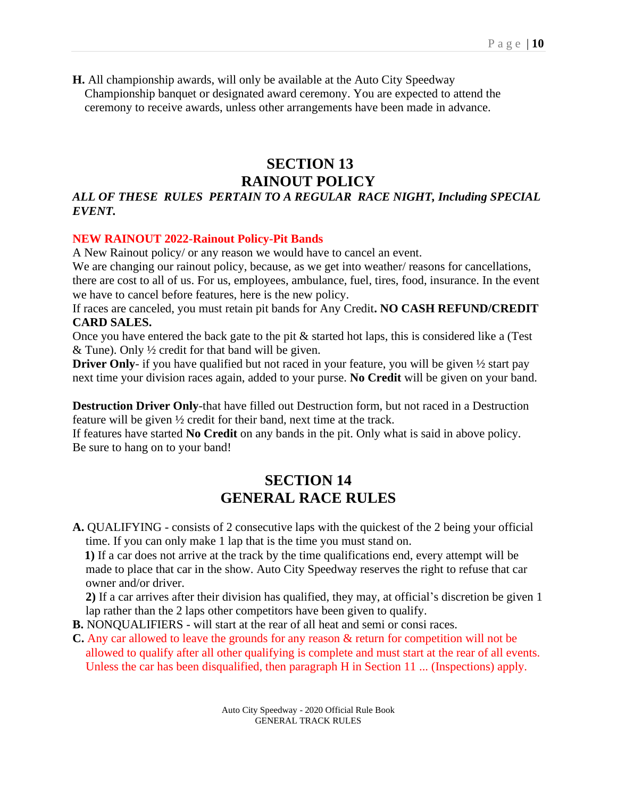**H.** All championship awards, will only be available at the Auto City Speedway Championship banquet or designated award ceremony. You are expected to attend the ceremony to receive awards, unless other arrangements have been made in advance.

## **SECTION 13 RAINOUT POLICY**

## *ALL OF THESE RULES PERTAIN TO A REGULAR RACE NIGHT, Including SPECIAL EVENT.*

#### **NEW RAINOUT 2022-Rainout Policy-Pit Bands**

A New Rainout policy/ or any reason we would have to cancel an event.

We are changing our rainout policy, because, as we get into weather/ reasons for cancellations, there are cost to all of us. For us, employees, ambulance, fuel, tires, food, insurance. In the event

we have to cancel before features, here is the new policy.

If races are canceled, you must retain pit bands for Any Credit**. NO CASH REFUND/CREDIT CARD SALES.** 

Once you have entered the back gate to the pit & started hot laps, this is considered like a (Test & Tune). Only  $\frac{1}{2}$  credit for that band will be given.

**Driver Only-** if you have qualified but not raced in your feature, you will be given  $\frac{1}{2}$  start pay next time your division races again, added to your purse. **No Credit** will be given on your band.

**Destruction Driver Only**-that have filled out Destruction form, but not raced in a Destruction feature will be given ½ credit for their band, next time at the track.

If features have started **No Credit** on any bands in the pit. Only what is said in above policy. Be sure to hang on to your band!

## **SECTION 14 GENERAL RACE RULES**

**A.** QUALIFYING - consists of 2 consecutive laps with the quickest of the 2 being your official time. If you can only make 1 lap that is the time you must stand on.

 **1)** If a car does not arrive at the track by the time qualifications end, every attempt will be made to place that car in the show. Auto City Speedway reserves the right to refuse that car owner and/or driver.

**2)** If a car arrives after their division has qualified, they may, at official's discretion be given 1 lap rather than the 2 laps other competitors have been given to qualify.

**B.** NONQUALIFIERS - will start at the rear of all heat and semi or consi races.

**C.** Any car allowed to leave the grounds for any reason & return for competition will not be allowed to qualify after all other qualifying is complete and must start at the rear of all events. Unless the car has been disqualified, then paragraph H in Section 11 ... (Inspections) apply.